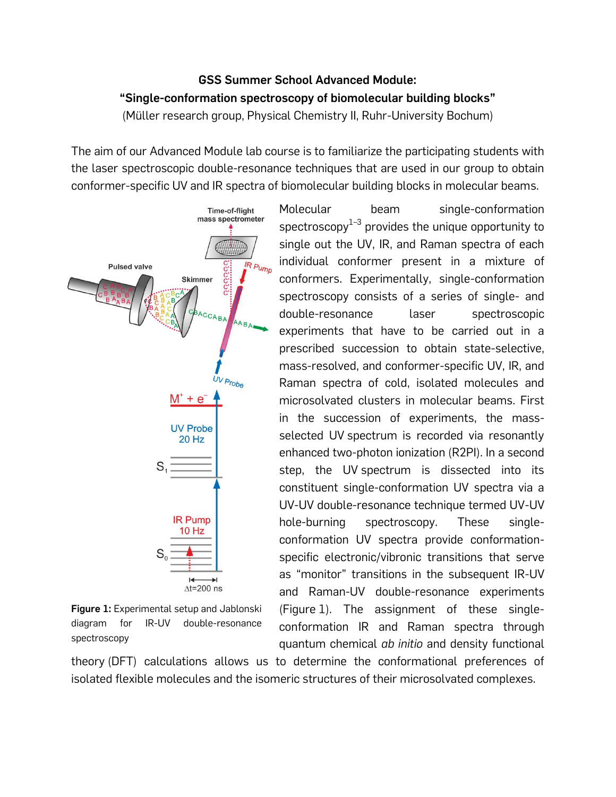## **GSS Summer School Advanced Module: "Single-conformation spectroscopy of biomolecular building blocks"** (Müller research group, Physical Chemistry II, Ruhr-University Bochum)

The aim of our Advanced Module lab course is to familiarize the participating students with the laser spectroscopic double-resonance techniques that are used in our group to obtain conformer-specific UV and IR spectra of biomolecular building blocks in molecular beams.



**Figure 1:** Experimental setup and Jablonski diagram for IR-UV double-resonance spectroscopy

Molecular beam single-conformation spectroscopy $^{\rm 1-3}$  provides the unique opportunity to single out the UV, IR, and Raman spectra of each individual conformer present in a mixture of conformers. Experimentally, single-conformation spectroscopy consists of a series of single- and double-resonance laser spectroscopic experiments that have to be carried out in a prescribed succession to obtain state-selective, mass-resolved, and conformer-specific UV, IR, and Raman spectra of cold, isolated molecules and microsolvated clusters in molecular beams. First in the succession of experiments, the massselected UV spectrum is recorded via resonantly enhanced two-photon ionization (R2PI). In a second step, the UV spectrum is dissected into its constituent single-conformation UV spectra via a UV-UV double-resonance technique termed UV-UV hole-burning spectroscopy. These singleconformation UV spectra provide conformationspecific electronic/vibronic transitions that serve as "monitor" transitions in the subsequent IR-UV and Raman-UV double-resonance experiments (Figure 1). The assignment of these singleconformation IR and Raman spectra through quantum chemical *ab initio* and density functional

theory (DFT) calculations allows us to determine the conformational preferences of isolated flexible molecules and the isomeric structures of their microsolvated complexes.